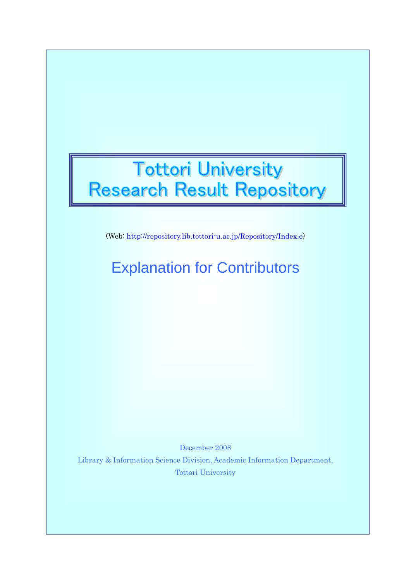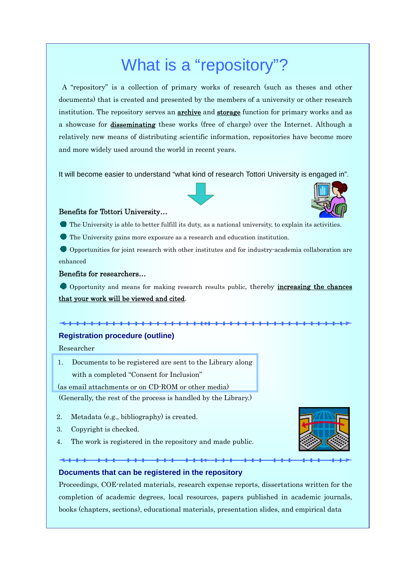# What is a "repository"?

 A "repository" is a collection of primary works of research (such as theses and other documents) that is created and presented by the members of a university or other research institution. The repository serves an **archive** and **storage** function for primary works and as a showcase for disseminating these works (free of charge) over the Internet. Although a relatively new means of distributing scientific information, repositories have become more and more widely used around the world in recent years.

It will become easier to understand "what kind of research Tottori University is engaged in".





#### Benefits for Tottori University…

- The University is able to better fulfill its duty, as a national university, to explain its activities.
- The University gains more exposure as a research and education institution.

 Opportunities for joint research with other institutes and for industry-academia collaboration are enhanced

## Benefits for researchers…

Opportunity and means for making research results public, thereby **increasing the chances** that your work will be viewed and cited.

## <del>. . . . . . . . . . . . . .</del>

## **Registration procedure (outline)**

Researcher

1. Documents to be registered are sent to the Library along with a completed "Consent for Inclusion"

## (as email attachments or on CD-ROM or other media)

(Generally, the rest of the process is handled by the Library.)

- 2. Metadata (e.g., bibliography) is created.
- 3. Copyright is checked.
- 4. The work is registered in the repository and made public.



## **Documents that can be registered in the repository**

Proceedings, COE-related materials, research expense reports, dissertations written for the completion of academic degrees, local resources, papers published in academic journals, books (chapters, sections), educational materials, presentation slides, and empirical data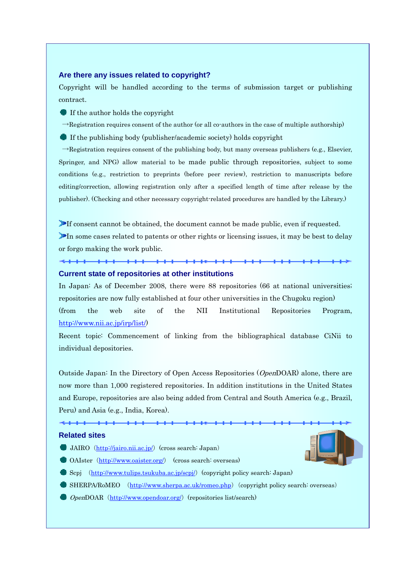#### **Are there any issues related to copyright?**

Copyright will be handled according to the terms of submission target or publishing contract.

If the author holds the copyright

 $\rightarrow$ Registration requires consent of the author (or all co-authors in the case of multiple authorship)

 $\bullet$  If the publishing body (publisher/academic society) holds copyright

 $\rightarrow$ Registration requires consent of the publishing body, but many overseas publishers (e.g., Elsevier, Springer, and NPG) allow material to be made public through repositories, subject to some conditions (e.g., restriction to preprints (before peer review), restriction to manuscripts before editing/correction, allowing registration only after a specified length of time after release by the publisher). (Checking and other necessary copyright-related procedures are handled by the Library.)

If consent cannot be obtained, the document cannot be made public, even if requested. In some cases related to patents or other rights or licensing issues, it may be best to delay or forgo making the work public.

## **Current state of repositories at other institutions**

In Japan: As of December 2008, there were 88 repositories (66 at national universities; repositories are now fully established at four other universities in the Chugoku region) (from the web site of the NII Institutional Repositories Program, http://www.nii.ac.jp/irp/list/)

Recent topic: Commencement of linking from the bibliographical database CiNii to individual depositories.

Outside Japan: In the Directory of Open Access Repositories (OpenDOAR) alone, there are now more than 1,000 registered repositories. In addition institutions in the United States and Europe, repositories are also being added from Central and South America (e.g., Brazil, Peru) and Asia (e.g., India, Korea).

## **Related sites**

- JAIRO  $(\underline{http://jairo.nii.ac.jp/})$  (cross search: Japan)
- OAIster (http://www.oaister.org/) (cross search: overseas)
- $\bullet$  Scpj (http://www.tulips.tsukuba.ac.jp/scpj/) (copyright policy search: Japan)
- SHERPA/RoMEO (http://www.sherpa.ac.uk/romeo.php)(copyright policy search: overseas)
- $\bullet$  OpenDOAR (http://www.opendoar.org/) (repositories list/search)